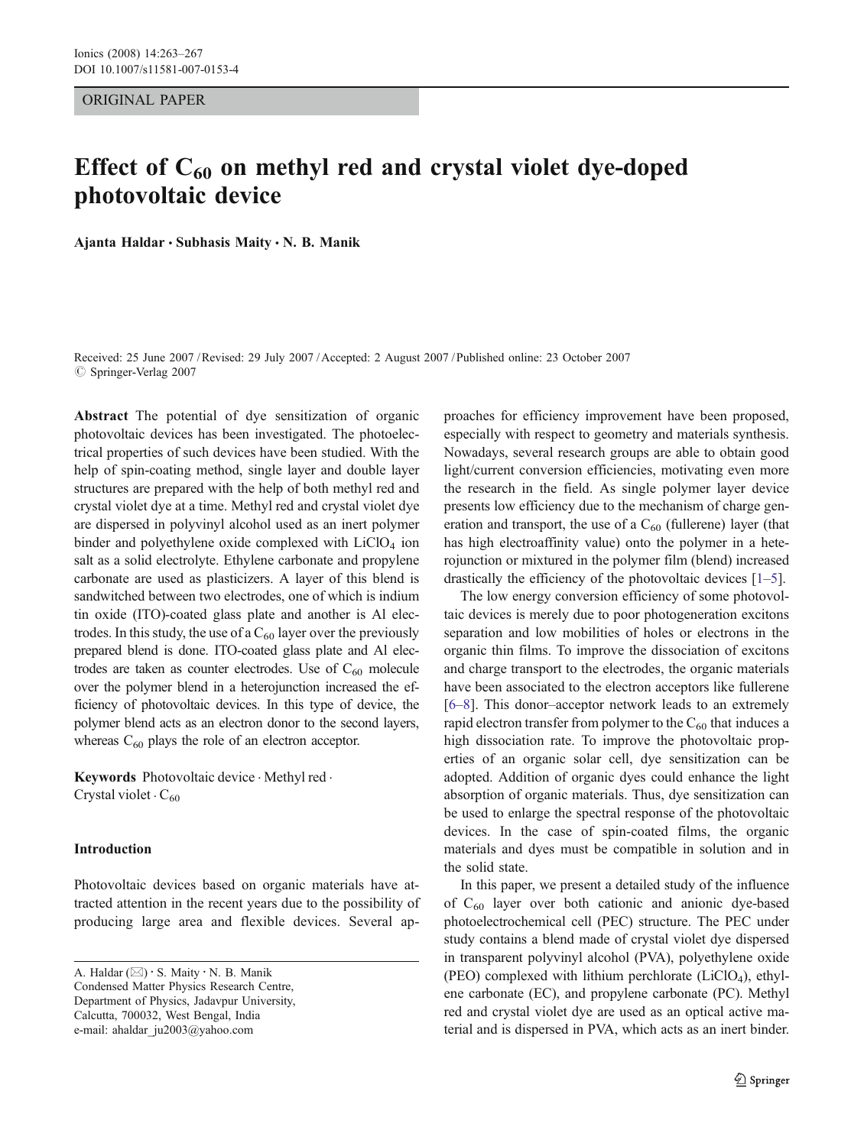ORIGINAL PAPER

# Effect of  $C_{60}$  on methyl red and crystal violet dye-doped photovoltaic device

Ajanta Haldar  $\cdot$  Subhasis Maity  $\cdot$  N. B. Manik

Received: 25 June 2007 /Revised: 29 July 2007 /Accepted: 2 August 2007 / Published online: 23 October 2007  $\oslash$  Springer-Verlag 2007

Abstract The potential of dye sensitization of organic photovoltaic devices has been investigated. The photoelectrical properties of such devices have been studied. With the help of spin-coating method, single layer and double layer structures are prepared with the help of both methyl red and crystal violet dye at a time. Methyl red and crystal violet dye are dispersed in polyvinyl alcohol used as an inert polymer binder and polyethylene oxide complexed with  $LiClO<sub>4</sub>$  ion salt as a solid electrolyte. Ethylene carbonate and propylene carbonate are used as plasticizers. A layer of this blend is sandwitched between two electrodes, one of which is indium tin oxide (ITO)-coated glass plate and another is Al electrodes. In this study, the use of a  $C_{60}$  layer over the previously prepared blend is done. ITO-coated glass plate and Al electrodes are taken as counter electrodes. Use of  $C_{60}$  molecule over the polymer blend in a heterojunction increased the efficiency of photovoltaic devices. In this type of device, the polymer blend acts as an electron donor to the second layers, whereas  $C_{60}$  plays the role of an electron acceptor.

Keywords Photovoltaic device · Methyl red · Crystal violet  $\cdot C_{60}$ 

## Introduction

Photovoltaic devices based on organic materials have attracted attention in the recent years due to the possibility of producing large area and flexible devices. Several ap-

A. Haldar ( $\boxtimes$ ) · S. Maity · N. B. Manik Condensed Matter Physics Research Centre, Department of Physics, Jadavpur University, Calcutta, 700032, West Bengal, India e-mail: ahaldar\_ju2003@yahoo.com

proaches for efficiency improvement have been proposed, especially with respect to geometry and materials synthesis. Nowadays, several research groups are able to obtain good light/current conversion efficiencies, motivating even more the research in the field. As single polymer layer device presents low efficiency due to the mechanism of charge generation and transport, the use of a  $C_{60}$  (fullerene) layer (that has high electroaffinity value) onto the polymer in a heterojunction or mixtured in the polymer film (blend) increased drastically the efficiency of the photovoltaic devices [[1](#page-4-0)–[5](#page-4-0)].

The low energy conversion efficiency of some photovoltaic devices is merely due to poor photogeneration excitons separation and low mobilities of holes or electrons in the organic thin films. To improve the dissociation of excitons and charge transport to the electrodes, the organic materials have been associated to the electron acceptors like fullerene [\[6](#page-4-0)–[8](#page-4-0)]. This donor–acceptor network leads to an extremely rapid electron transfer from polymer to the  $C_{60}$  that induces a high dissociation rate. To improve the photovoltaic properties of an organic solar cell, dye sensitization can be adopted. Addition of organic dyes could enhance the light absorption of organic materials. Thus, dye sensitization can be used to enlarge the spectral response of the photovoltaic devices. In the case of spin-coated films, the organic materials and dyes must be compatible in solution and in the solid state.

In this paper, we present a detailed study of the influence of  $C_{60}$  layer over both cationic and anionic dye-based photoelectrochemical cell (PEC) structure. The PEC under study contains a blend made of crystal violet dye dispersed in transparent polyvinyl alcohol (PVA), polyethylene oxide (PEO) complexed with lithium perchlorate  $(LiClO<sub>4</sub>)$ , ethylene carbonate (EC), and propylene carbonate (PC). Methyl red and crystal violet dye are used as an optical active material and is dispersed in PVA, which acts as an inert binder.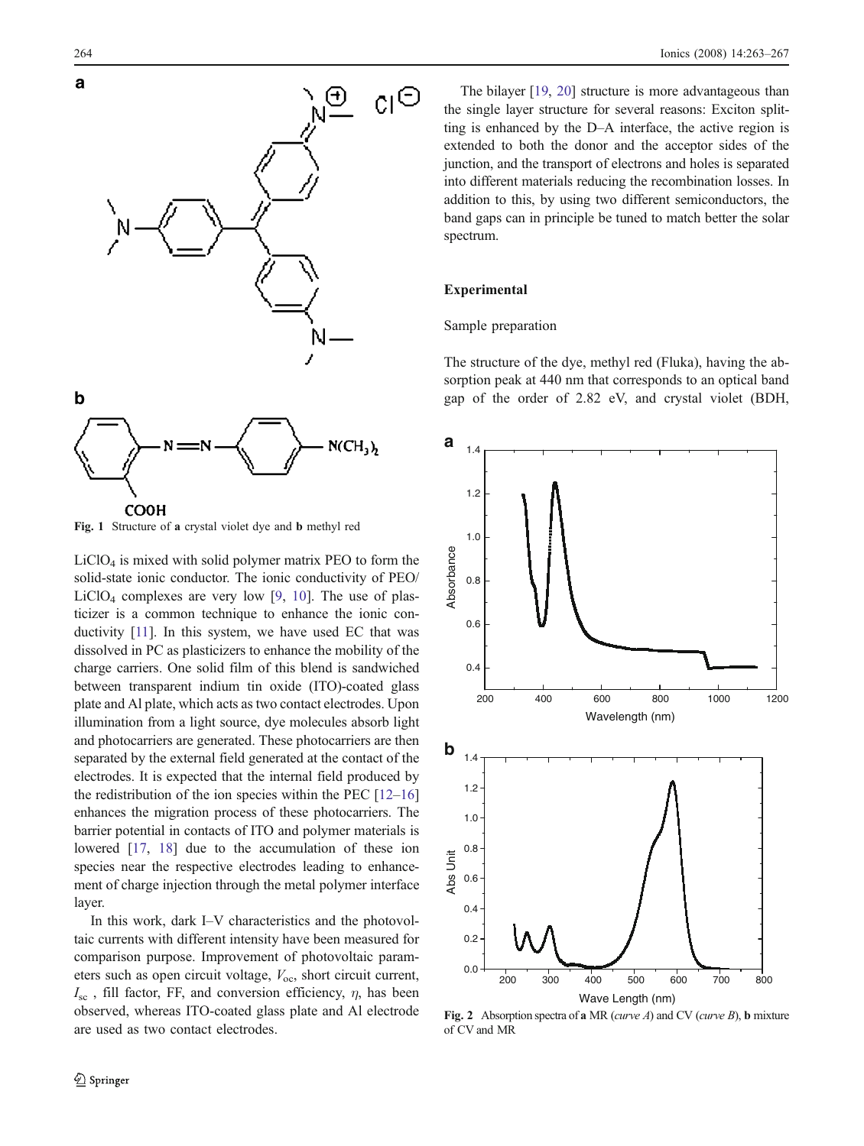<span id="page-1-0"></span>

Fig. 1 Structure of a crystal violet dye and b methyl red

 $LiClO<sub>4</sub>$  is mixed with solid polymer matrix PEO to form the solid-state ionic conductor. The ionic conductivity of PEO/  $LiClO<sub>4</sub>$  complexes are very low [[9,](#page-4-0) [10](#page-4-0)]. The use of plasticizer is a common technique to enhance the ionic conductivity [\[11\]](#page-4-0). In this system, we have used EC that was dissolved in PC as plasticizers to enhance the mobility of the charge carriers. One solid film of this blend is sandwiched between transparent indium tin oxide (ITO)-coated glass plate and Al plate, which acts as two contact electrodes. Upon illumination from a light source, dye molecules absorb light and photocarriers are generated. These photocarriers are then separated by the external field generated at the contact of the electrodes. It is expected that the internal field produced by the redistribution of the ion species within the PEC  $[12-16]$  $[12-16]$  $[12-16]$ enhances the migration process of these photocarriers. The barrier potential in contacts of ITO and polymer materials is lowered [\[17](#page-4-0), [18](#page-4-0)] due to the accumulation of these ion species near the respective electrodes leading to enhancement of charge injection through the metal polymer interface layer.

In this work, dark I–V characteristics and the photovoltaic currents with different intensity have been measured for comparison purpose. Improvement of photovoltaic parameters such as open circuit voltage,  $V_{\text{oc}}$ , short circuit current,  $I_{\rm sc}$ , fill factor, FF, and conversion efficiency,  $\eta$ , has been observed, whereas ITO-coated glass plate and Al electrode are used as two contact electrodes.

The bilayer [\[19](#page-4-0), [20\]](#page-4-0) structure is more advantageous than the single layer structure for several reasons: Exciton splitting is enhanced by the D–A interface, the active region is extended to both the donor and the acceptor sides of the junction, and the transport of electrons and holes is separated into different materials reducing the recombination losses. In addition to this, by using two different semiconductors, the band gaps can in principle be tuned to match better the solar spectrum.

## Experimental

## Sample preparation

The structure of the dye, methyl red (Fluka), having the absorption peak at 440 nm that corresponds to an optical band gap of the order of 2.82 eV, and crystal violet (BDH,



Fig. 2 Absorption spectra of a MR (curve A) and CV (curve B), b mixture of CV and MR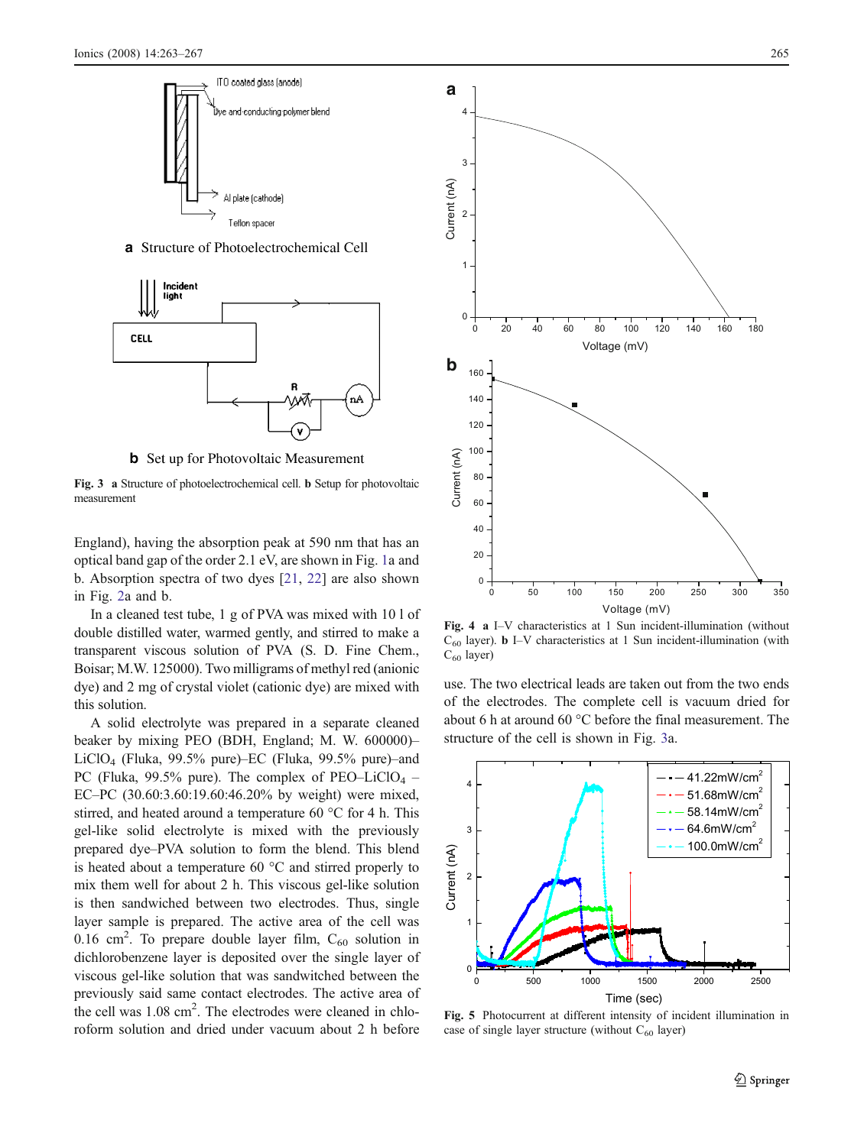<span id="page-2-0"></span>

a Structure of Photoelectrochemical Cell



**b** Set up for Photovoltaic Measurement

Fig. 3 a Structure of photoelectrochemical cell. b Setup for photovoltaic measurement

England), having the absorption peak at 590 nm that has an optical band gap of the order 2.1 eV, are shown in Fig. [1a](#page-1-0) and b. Absorption spectra of two dyes [[21,](#page-4-0) [22\]](#page-4-0) are also shown in Fig. [2](#page-1-0)a and b.

In a cleaned test tube, 1 g of PVA was mixed with 10 l of double distilled water, warmed gently, and stirred to make a transparent viscous solution of PVA (S. D. Fine Chem., Boisar; M.W. 125000). Two milligrams of methyl red (anionic dye) and 2 mg of crystal violet (cationic dye) are mixed with this solution.

A solid electrolyte was prepared in a separate cleaned beaker by mixing PEO (BDH, England; M. W. 600000)– LiClO4 (Fluka, 99.5% pure)–EC (Fluka, 99.5% pure)–and PC (Fluka, 99.5% pure). The complex of PEO–LiClO<sub>4</sub> – EC–PC (30.60:3.60:19.60:46.20% by weight) were mixed, stirred, and heated around a temperature 60 °C for 4 h. This gel-like solid electrolyte is mixed with the previously prepared dye–PVA solution to form the blend. This blend is heated about a temperature 60 °C and stirred properly to mix them well for about 2 h. This viscous gel-like solution is then sandwiched between two electrodes. Thus, single layer sample is prepared. The active area of the cell was 0.16 cm<sup>2</sup>. To prepare double layer film,  $C_{60}$  solution in dichlorobenzene layer is deposited over the single layer of viscous gel-like solution that was sandwitched between the previously said same contact electrodes. The active area of the cell was 1.08 cm<sup>2</sup>. The electrodes were cleaned in chloroform solution and dried under vacuum about 2 h before



Fig. 4 a I–V characteristics at 1 Sun incident-illumination (without  $C_{60}$  layer). **b** I–V characteristics at 1 Sun incident-illumination (with  $C_{60}$  layer)

use. The two electrical leads are taken out from the two ends of the electrodes. The complete cell is vacuum dried for about 6 h at around 60 °C before the final measurement. The structure of the cell is shown in Fig. 3a.



Fig. 5 Photocurrent at different intensity of incident illumination in case of single layer structure (without  $C_{60}$  layer)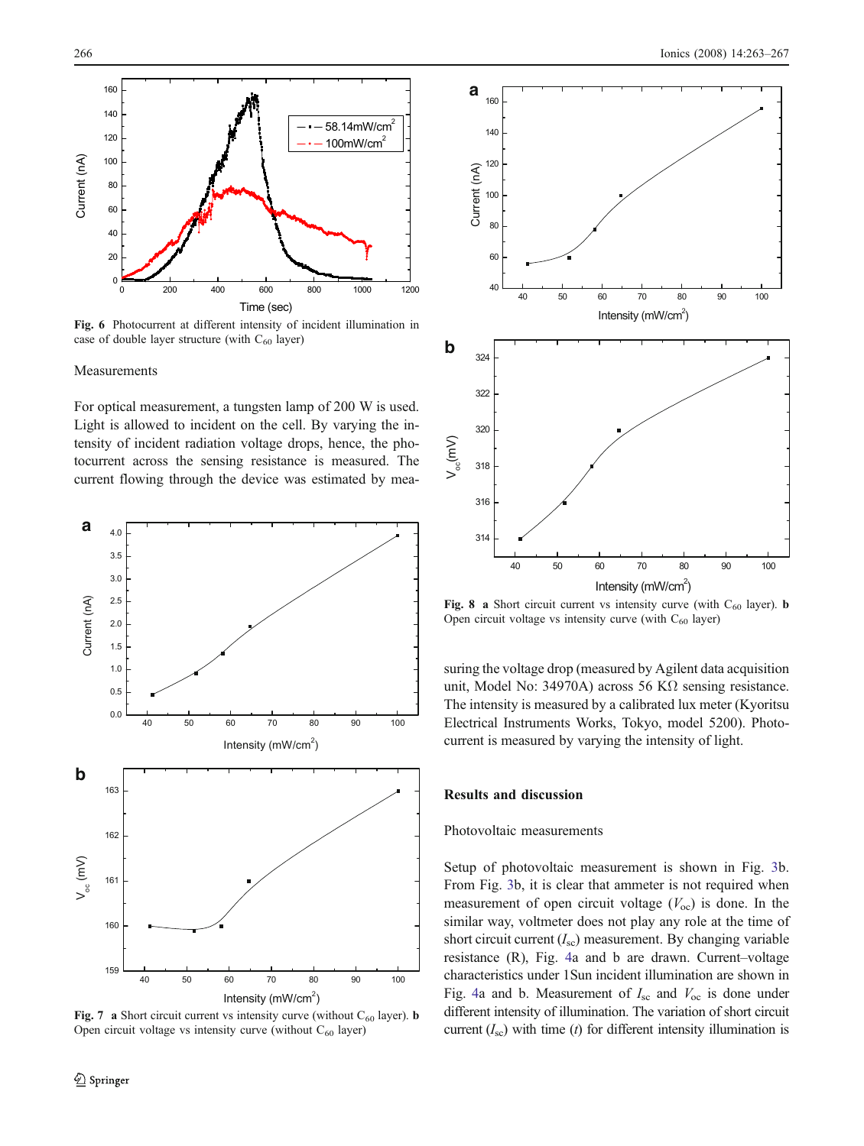<span id="page-3-0"></span>

Fig. 6 Photocurrent at different intensity of incident illumination in case of double layer structure (with  $C_{60}$  layer)

#### Measurements

For optical measurement, a tungsten lamp of 200 W is used. Light is allowed to incident on the cell. By varying the intensity of incident radiation voltage drops, hence, the photocurrent across the sensing resistance is measured. The current flowing through the device was estimated by mea-



Fig. 7 a Short circuit current vs intensity curve (without  $C_{60}$  layer). **b** Open circuit voltage vs intensity curve (without  $C_{60}$  layer)



Fig. 8 a Short circuit current vs intensity curve (with  $C_{60}$  layer). b Open circuit voltage vs intensity curve (with  $C_{60}$  layer)

suring the voltage drop (measured by Agilent data acquisition unit, Model No: 34970A) across 56 KΩ sensing resistance. The intensity is measured by a calibrated lux meter (Kyoritsu Electrical Instruments Works, Tokyo, model 5200). Photocurrent is measured by varying the intensity of light.

## Results and discussion

## Photovoltaic measurements

Setup of photovoltaic measurement is shown in Fig. [3b](#page-2-0). From Fig. [3b](#page-2-0), it is clear that ammeter is not required when measurement of open circuit voltage  $(V<sub>oc</sub>)$  is done. In the similar way, voltmeter does not play any role at the time of short circuit current  $(I_{\rm sc})$  measurement. By changing variable resistance (R), Fig. [4a](#page-2-0) and b are drawn. Current–voltage characteristics under 1Sun incident illumination are shown in Fig. [4](#page-2-0)a and b. Measurement of  $I_{\rm sc}$  and  $V_{\rm oc}$  is done under different intensity of illumination. The variation of short circuit current  $(I_{\rm sc})$  with time (t) for different intensity illumination is